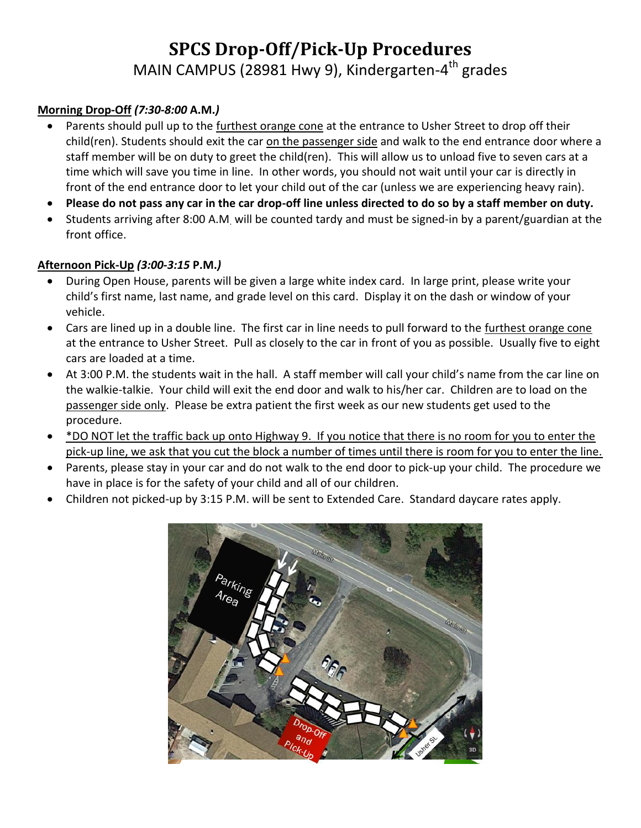# **SPCS Drop-Off/Pick-Up Procedures** MAIN CAMPUS (28981 Hwy 9), Kindergarten-4<sup>th</sup> grades

### **Morning Drop-Off** *(7:30-8:00* **A.M.***)*

- Parents should pull up to the furthest orange cone at the entrance to Usher Street to drop off their child(ren). Students should exit the car on the passenger side and walk to the end entrance door where a staff member will be on duty to greet the child(ren). This will allow us to unload five to seven cars at a time which will save you time in line. In other words, you should not wait until your car is directly in front of the end entrance door to let your child out of the car (unless we are experiencing heavy rain).
- **Please do not pass any car in the car drop-off line unless directed to do so by a staff member on duty.**
- Students arriving after 8:00 A.M. will be counted tardy and must be signed-in by a parent/guardian at the front office.

#### **Afternoon Pick-Up** *(3:00-3:15* **P.M.***)*

- During Open House, parents will be given a large white index card. In large print, please write your child's first name, last name, and grade level on this card. Display it on the dash or window of your vehicle.
- Cars are lined up in a double line. The first car in line needs to pull forward to the furthest orange cone at the entrance to Usher Street. Pull as closely to the car in front of you as possible. Usually five to eight cars are loaded at a time.
- At 3:00 P.M. the students wait in the hall. A staff member will call your child's name from the car line on the walkie-talkie. Your child will exit the end door and walk to his/her car. Children are to load on the passenger side only. Please be extra patient the first week as our new students get used to the procedure.
- \* DO NOT let the traffic back up onto Highway 9. If you notice that there is no room for you to enter the pick-up line, we ask that you cut the block a number of times until there is room for you to enter the line.
- Parents, please stay in your car and do not walk to the end door to pick-up your child. The procedure we have in place is for the safety of your child and all of our children.
- Children not picked-up by 3:15 P.M. will be sent to Extended Care. Standard daycare rates apply.